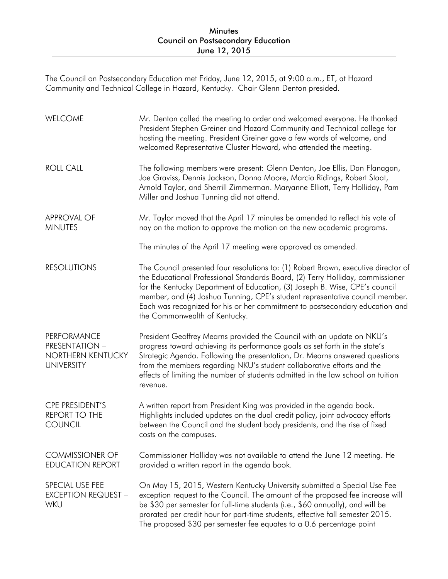The Council on Postsecondary Education met Friday, June 12, 2015, at 9:00 a.m., ET, at Hazard Community and Technical College in Hazard, Kentucky. Chair Glenn Denton presided.

| WELCOME                                                                        | Mr. Denton called the meeting to order and welcomed everyone. He thanked<br>President Stephen Greiner and Hazard Community and Technical college for<br>hosting the meeting. President Greiner gave a few words of welcome, and<br>welcomed Representative Cluster Howard, who attended the meeting.                                                                                                                                                 |
|--------------------------------------------------------------------------------|------------------------------------------------------------------------------------------------------------------------------------------------------------------------------------------------------------------------------------------------------------------------------------------------------------------------------------------------------------------------------------------------------------------------------------------------------|
| <b>ROLL CALL</b>                                                               | The following members were present: Glenn Denton, Joe Ellis, Dan Flanagan,<br>Joe Graviss, Dennis Jackson, Donna Moore, Marcia Ridings, Robert Staat,<br>Arnold Taylor, and Sherrill Zimmerman. Maryanne Elliott, Terry Holliday, Pam<br>Miller and Joshua Tunning did not attend.                                                                                                                                                                   |
| <b>APPROVAL OF</b><br><b>MINUTES</b>                                           | Mr. Taylor moved that the April 17 minutes be amended to reflect his vote of<br>nay on the motion to approve the motion on the new academic programs.                                                                                                                                                                                                                                                                                                |
|                                                                                | The minutes of the April 17 meeting were approved as amended.                                                                                                                                                                                                                                                                                                                                                                                        |
| <b>RESOLUTIONS</b>                                                             | The Council presented four resolutions to: (1) Robert Brown, executive director of<br>the Educational Professional Standards Board, (2) Terry Holliday, commissioner<br>for the Kentucky Department of Education, (3) Joseph B. Wise, CPE's council<br>member, and (4) Joshua Tunning, CPE's student representative council member.<br>Each was recognized for his or her commitment to postsecondary education and<br>the Commonwealth of Kentucky. |
| <b>PERFORMANCE</b><br>PRESENTATION -<br>NORTHERN KENTUCKY<br><b>UNIVERSITY</b> | President Geoffrey Mearns provided the Council with an update on NKU's<br>progress toward achieving its performance goals as set forth in the state's<br>Strategic Agenda. Following the presentation, Dr. Mearns answered questions<br>from the members regarding NKU's student collaborative efforts and the<br>effects of limiting the number of students admitted in the law school on tuition<br>revenue.                                       |
| CPE PRESIDENT'S<br><b>REPORT TO THE</b><br><b>COUNCIL</b>                      | A written report from President King was provided in the agenda book.<br>Highlights included updates on the dual credit policy, joint advocacy efforts<br>between the Council and the student body presidents, and the rise of fixed<br>costs on the campuses.                                                                                                                                                                                       |
| <b>COMMISSIONER OF</b><br><b>EDUCATION REPORT</b>                              | Commissioner Holliday was not available to attend the June 12 meeting. He<br>provided a written report in the agenda book.                                                                                                                                                                                                                                                                                                                           |
| SPECIAL USE FEE<br><b>EXCEPTION REQUEST -</b><br>WKU                           | On May 15, 2015, Western Kentucky University submitted a Special Use Fee<br>exception request to the Council. The amount of the proposed fee increase will<br>be \$30 per semester for full-time students (i.e., \$60 annually), and will be<br>prorated per credit hour for part-time students, effective fall semester 2015.<br>The proposed \$30 per semester fee equates to a 0.6 percentage point                                               |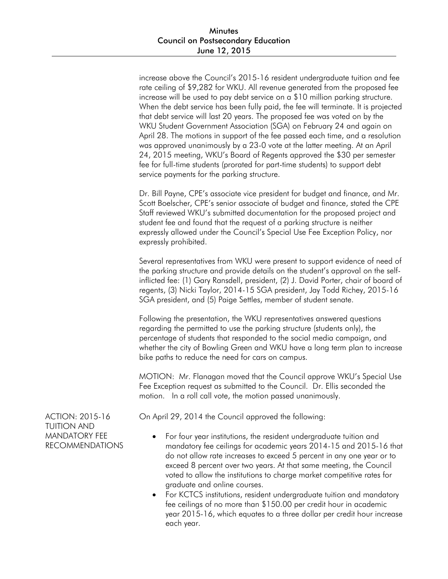increase above the Council's 2015-16 resident undergraduate tuition and fee rate ceiling of \$9,282 for WKU. All revenue generated from the proposed fee increase will be used to pay debt service on a \$10 million parking structure. When the debt service has been fully paid, the fee will terminate. It is projected that debt service will last 20 years. The proposed fee was voted on by the WKU Student Government Association (SGA) on February 24 and again on April 28. The motions in support of the fee passed each time, and a resolution was approved unanimously by a 23-0 vote at the latter meeting. At an April 24, 2015 meeting, WKU's Board of Regents approved the \$30 per semester fee for full-time students (prorated for part-time students) to support debt service payments for the parking structure.

Dr. Bill Payne, CPE's associate vice president for budget and finance, and Mr. Scott Boelscher, CPE's senior associate of budget and finance, stated the CPE Staff reviewed WKU's submitted documentation for the proposed project and student fee and found that the request of a parking structure is neither expressly allowed under the Council's Special Use Fee Exception Policy, nor expressly prohibited.

Several representatives from WKU were present to support evidence of need of the parking structure and provide details on the student's approval on the selfinflicted fee: (1) Gary Ransdell, president, (2) J. David Porter, chair of board of regents, (3) Nicki Taylor, 2014-15 SGA president, Jay Todd Richey, 2015-16 SGA president, and (5) Paige Settles, member of student senate.

Following the presentation, the WKU representatives answered questions regarding the permitted to use the parking structure (students only), the percentage of students that responded to the social media campaign, and whether the city of Bowling Green and WKU have a long term plan to increase bike paths to reduce the need for cars on campus.

MOTION: Mr. Flanagan moved that the Council approve WKU's Special Use Fee Exception request as submitted to the Council. Dr. Ellis seconded the motion. In a roll call vote, the motion passed unanimously.

On April 29, 2014 the Council approved the following:

- For four year institutions, the resident undergraduate tuition and mandatory fee ceilings for academic years 2014-15 and 2015-16 that do not allow rate increases to exceed 5 percent in any one year or to exceed 8 percent over two years. At that same meeting, the Council voted to allow the institutions to charge market competitive rates for graduate and online courses.
- For KCTCS institutions, resident undergraduate tuition and mandatory fee ceilings of no more than \$150.00 per credit hour in academic year 2015-16, which equates to a three dollar per credit hour increase each year.

ACTION: 2015-16 TUITION AND MANDATORY FEE RECOMMENDATIONS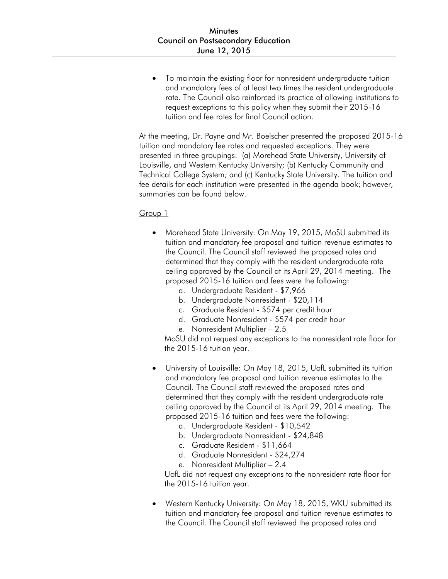To maintain the existing floor for nonresident undergraduate tuition and mandatory fees of at least two times the resident undergraduate rate. The Council also reinforced its practice of allowing institutions to request exceptions to this policy when they submit their 2015-16 tuition and fee rates for final Council action.

At the meeting, Dr. Payne and Mr. Boelscher presented the proposed 2015-16 tuition and mandatory fee rates and requested exceptions. They were presented in three groupings: (a) Morehead State University, University of Louisville, and Western Kentucky University; (b) Kentucky Community and Technical College System; and (c) Kentucky State University. The tuition and fee details for each institution were presented in the agenda book; however, summaries can be found below.

### Group 1

- Morehead State University: On May 19, 2015, MoSU submitted its tuition and mandatory fee proposal and tuition revenue estimates to the Council. The Council staff reviewed the proposed rates and determined that they comply with the resident undergraduate rate ceiling approved by the Council at its April 29, 2014 meeting. The proposed 2015-16 tuition and fees were the following:
	- a. Undergraduate Resident \$7,966
	- b. Undergraduate Nonresident \$20,114
	- c. Graduate Resident \$574 per credit hour
	- d. Graduate Nonresident \$574 per credit hour
	- e. Nonresident Multiplier 2.5

MoSU did not request any exceptions to the nonresident rate floor for the 2015-16 tuition year.

- University of Louisville: On May 18, 2015, UofL submitted its tuition and mandatory fee proposal and tuition revenue estimates to the Council. The Council staff reviewed the proposed rates and determined that they comply with the resident undergraduate rate ceiling approved by the Council at its April 29, 2014 meeting. The proposed 2015-16 tuition and fees were the following:
	- a. Undergraduate Resident \$10,542
	- b. Undergraduate Nonresident \$24,848
	- c. Graduate Resident \$11,664
	- d. Graduate Nonresident \$24,274
	- e. Nonresident Multiplier 2.4

UofL did not request any exceptions to the nonresident rate floor for the 2015-16 tuition year.

 Western Kentucky University: On May 18, 2015, WKU submitted its tuition and mandatory fee proposal and tuition revenue estimates to the Council. The Council staff reviewed the proposed rates and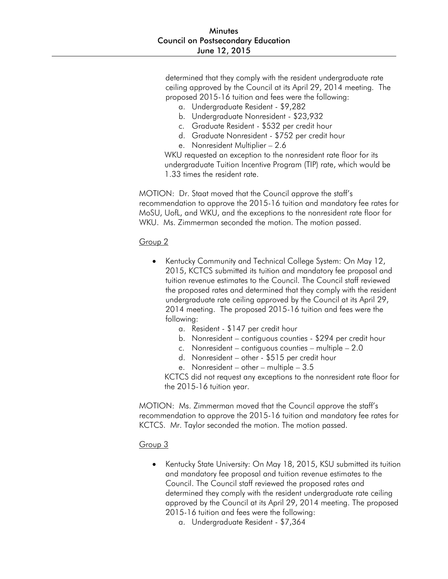determined that they comply with the resident undergraduate rate ceiling approved by the Council at its April 29, 2014 meeting. The proposed 2015-16 tuition and fees were the following:

- a. Undergraduate Resident \$9,282
- b. Undergraduate Nonresident \$23,932
- c. Graduate Resident \$532 per credit hour
- d. Graduate Nonresident \$752 per credit hour
- e. Nonresident Multiplier 2.6

WKU requested an exception to the nonresident rate floor for its undergraduate Tuition Incentive Program (TIP) rate, which would be 1.33 times the resident rate.

MOTION: Dr. Staat moved that the Council approve the staff's recommendation to approve the 2015-16 tuition and mandatory fee rates for MoSU, UofL, and WKU, and the exceptions to the nonresident rate floor for WKU. Ms. Zimmerman seconded the motion. The motion passed.

### Group 2

- Kentucky Community and Technical College System: On May 12, 2015, KCTCS submitted its tuition and mandatory fee proposal and tuition revenue estimates to the Council. The Council staff reviewed the proposed rates and determined that they comply with the resident undergraduate rate ceiling approved by the Council at its April 29, 2014 meeting. The proposed 2015-16 tuition and fees were the following:
	- a. Resident \$147 per credit hour
	- b. Nonresident contiguous counties \$294 per credit hour
	- c. Nonresident contiguous counties multiple 2.0
	- d. Nonresident other \$515 per credit hour
	- e. Nonresident other multiple 3.5

KCTCS did not request any exceptions to the nonresident rate floor for the 2015-16 tuition year.

MOTION: Ms. Zimmerman moved that the Council approve the staff's recommendation to approve the 2015-16 tuition and mandatory fee rates for KCTCS. Mr. Taylor seconded the motion. The motion passed.

## Group 3

- Kentucky State University: On May 18, 2015, KSU submitted its tuition and mandatory fee proposal and tuition revenue estimates to the Council. The Council staff reviewed the proposed rates and determined they comply with the resident undergraduate rate ceiling approved by the Council at its April 29, 2014 meeting. The proposed 2015-16 tuition and fees were the following:
	- a. Undergraduate Resident \$7,364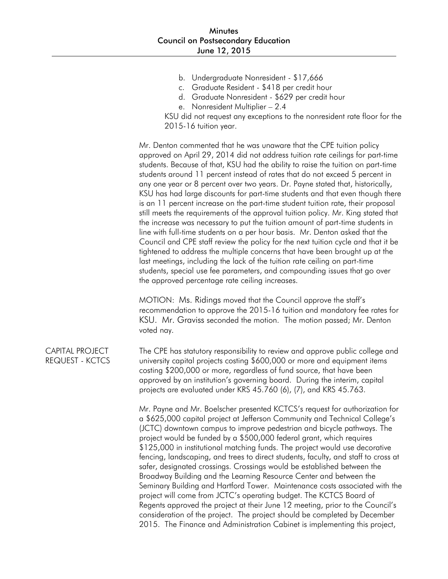- b. Undergraduate Nonresident \$17,666
- c. Graduate Resident \$418 per credit hour
- d. Graduate Nonresident \$629 per credit hour
- e. Nonresident Multiplier 2.4

KSU did not request any exceptions to the nonresident rate floor for the 2015-16 tuition year.

Mr. Denton commented that he was unaware that the CPE tuition policy approved on April 29, 2014 did not address tuition rate ceilings for part-time students. Because of that, KSU had the ability to raise the tuition on part-time students around 11 percent instead of rates that do not exceed 5 percent in any one year or 8 percent over two years. Dr. Payne stated that, historically, KSU has had large discounts for part-time students and that even though there is an 11 percent increase on the part-time student tuition rate, their proposal still meets the requirements of the approval tuition policy. Mr. King stated that the increase was necessary to put the tuition amount of part-time students in line with full-time students on a per hour basis. Mr. Denton asked that the Council and CPE staff review the policy for the next tuition cycle and that it be tightened to address the multiple concerns that have been brought up at the last meetings, including the lack of the tuition rate ceiling on part-time students, special use fee parameters, and compounding issues that go over the approved percentage rate ceiling increases.

MOTION: Ms. Ridings moved that the Council approve the staff's recommendation to approve the 2015-16 tuition and mandatory fee rates for KSU. Mr. Graviss seconded the motion. The motion passed; Mr. Denton voted nay.

CAPITAL PROJECT REQUEST - KCTCS The CPE has statutory responsibility to review and approve public college and university capital projects costing \$600,000 or more and equipment items costing \$200,000 or more, regardless of fund source, that have been approved by an institution's governing board. During the interim, capital projects are evaluated under KRS 45.760 (6), (7), and KRS 45.763.

> Mr. Payne and Mr. Boelscher presented KCTCS's request for authorization for a \$625,000 capital project at Jefferson Community and Technical College's (JCTC) downtown campus to improve pedestrian and bicycle pathways. The project would be funded by a \$500,000 federal grant, which requires \$125,000 in institutional matching funds. The project would use decorative fencing, landscaping, and trees to direct students, faculty, and staff to cross at safer, designated crossings. Crossings would be established between the Broadway Building and the Learning Resource Center and between the Seminary Building and Hartford Tower. Maintenance costs associated with the project will come from JCTC's operating budget. The KCTCS Board of Regents approved the project at their June 12 meeting, prior to the Council's consideration of the project. The project should be completed by December 2015. The Finance and Administration Cabinet is implementing this project,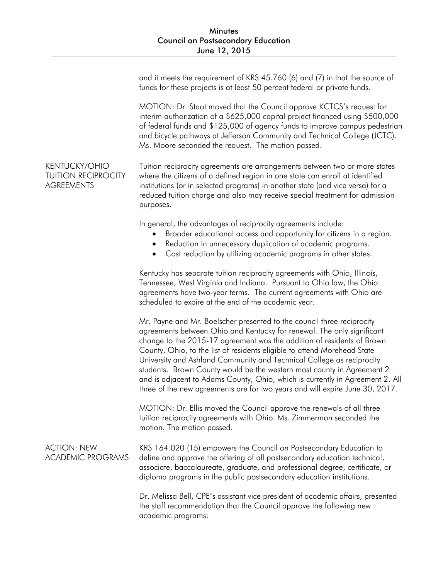and it meets the requirement of KRS 45.760 (6) and (7) in that the source of funds for these projects is at least 50 percent federal or private funds.

MOTION: Dr. Staat moved that the Council approve KCTCS's request for interim authorization of a \$625,000 capital project financed using \$500,000 of federal funds and \$125,000 of agency funds to improve campus pedestrian and bicycle pathways at Jefferson Community and Technical College (JCTC). Ms. Moore seconded the request. The motion passed.

KENTUCKY/OHIO TUITION RECIPROCITY **AGREEMENTS** Tuition reciprocity agreements are arrangements between two or more states where the citizens of a defined region in one state can enroll at identified institutions (or in selected programs) in another state (and vice versa) for a reduced tuition charge and also may receive special treatment for admission purposes.

In general, the advantages of reciprocity agreements include:

- Broader educational access and opportunity for citizens in a region.
- Reduction in unnecessary duplication of academic programs.
- Cost reduction by utilizing academic programs in other states.

Kentucky has separate tuition reciprocity agreements with Ohio, Illinois, Tennessee, West Virginia and Indiana. Pursuant to Ohio law, the Ohio agreements have two-year terms. The current agreements with Ohio are scheduled to expire at the end of the academic year.

Mr. Payne and Mr. Boelscher presented to the council three reciprocity agreements between Ohio and Kentucky for renewal. The only significant change to the 2015-17 agreement was the addition of residents of Brown County, Ohio, to the list of residents eligible to attend Morehead State University and Ashland Community and Technical College as reciprocity students. Brown County would be the western most county in Agreement 2 and is adjacent to Adams County, Ohio, which is currently in Agreement 2. All three of the new agreements are for two years and will expire June 30, 2017.

MOTION: Dr. Ellis moved the Council approve the renewals of all three tuition reciprocity agreements with Ohio. Ms. Zimmerman seconded the motion. The motion passed.

ACTION: NEW ACADEMIC PROGRAMS KRS 164.020 (15) empowers the Council on Postsecondary Education to define and approve the offering of all postsecondary education technical, associate, baccalaureate, graduate, and professional degree, certificate, or diploma programs in the public postsecondary education institutions.

> Dr. Melissa Bell, CPE's assistant vice president of academic affairs, presented the staff recommendation that the Council approve the following new academic programs: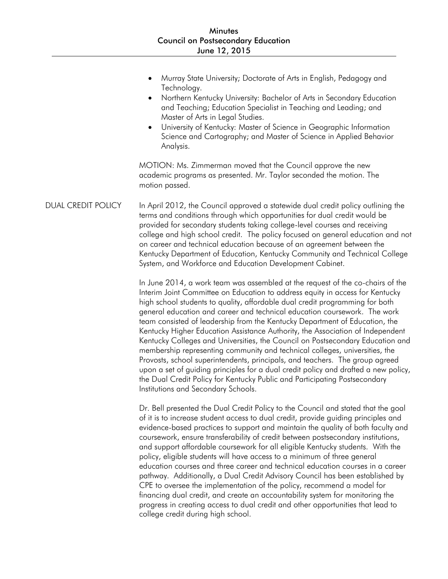- Murray State University; Doctorate of Arts in English, Pedagogy and Technology.
- Northern Kentucky University: Bachelor of Arts in Secondary Education and Teaching; Education Specialist in Teaching and Leading; and Master of Arts in Legal Studies.
- University of Kentucky: Master of Science in Geographic Information Science and Cartography; and Master of Science in Applied Behavior Analysis.

MOTION: Ms. Zimmerman moved that the Council approve the new academic programs as presented. Mr. Taylor seconded the motion. The motion passed.

DUAL CREDIT POLICY In April 2012, the Council approved a statewide dual credit policy outlining the terms and conditions through which opportunities for dual credit would be provided for secondary students taking college-level courses and receiving college and high school credit. The policy focused on general education and not on career and technical education because of an agreement between the Kentucky Department of Education, Kentucky Community and Technical College System, and Workforce and Education Development Cabinet.

> In June 2014, a work team was assembled at the request of the co-chairs of the Interim Joint Committee on Education to address equity in access for Kentucky high school students to quality, affordable dual credit programming for both general education and career and technical education coursework. The work team consisted of leadership from the Kentucky Department of Education, the Kentucky Higher Education Assistance Authority, the Association of Independent Kentucky Colleges and Universities, the Council on Postsecondary Education and membership representing community and technical colleges, universities, the Provosts, school superintendents, principals, and teachers. The group agreed upon a set of guiding principles for a dual credit policy and drafted a new policy, the Dual Credit Policy for Kentucky Public and Participating Postsecondary Institutions and Secondary Schools.

> Dr. Bell presented the Dual Credit Policy to the Council and stated that the goal of it is to increase student access to dual credit, provide guiding principles and evidence-based practices to support and maintain the quality of both faculty and coursework, ensure transferability of credit between postsecondary institutions, and support affordable coursework for all eligible Kentucky students. With the policy, eligible students will have access to a minimum of three general education courses and three career and technical education courses in a career pathway. Additionally, a Dual Credit Advisory Council has been established by CPE to oversee the implementation of the policy, recommend a model for financing dual credit, and create an accountability system for monitoring the progress in creating access to dual credit and other opportunities that lead to college credit during high school.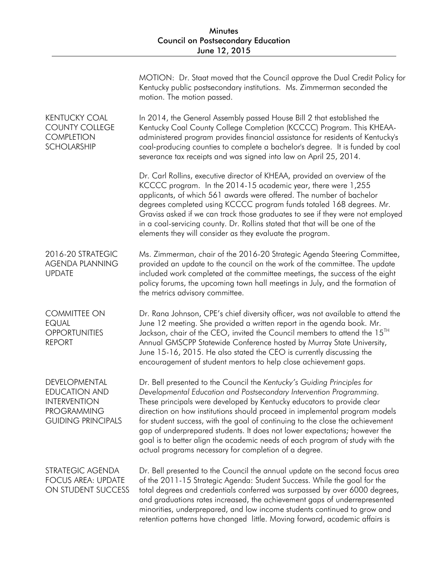|                                                                                                                 | MOTION: Dr. Staat moved that the Council approve the Dual Credit Policy for<br>Kentucky public postsecondary institutions. Ms. Zimmerman seconded the<br>motion. The motion passed.                                                                                                                                                                                                                                                                                                                                                                                                                            |
|-----------------------------------------------------------------------------------------------------------------|----------------------------------------------------------------------------------------------------------------------------------------------------------------------------------------------------------------------------------------------------------------------------------------------------------------------------------------------------------------------------------------------------------------------------------------------------------------------------------------------------------------------------------------------------------------------------------------------------------------|
| <b>KENTUCKY COAL</b><br><b>COUNTY COLLEGE</b><br><b>COMPLETION</b><br><b>SCHOLARSHIP</b>                        | In 2014, the General Assembly passed House Bill 2 that established the<br>Kentucky Coal County College Completion (KCCCC) Program. This KHEAA-<br>administered program provides financial assistance for residents of Kentucky's<br>coal-producing counties to complete a bachelor's degree. It is funded by coal<br>severance tax receipts and was signed into law on April 25, 2014.                                                                                                                                                                                                                         |
|                                                                                                                 | Dr. Carl Rollins, executive director of KHEAA, provided an overview of the<br>KCCCC program. In the 2014-15 academic year, there were 1,255<br>applicants, of which 561 awards were offered. The number of bachelor<br>degrees completed using KCCCC program funds totaled 168 degrees. Mr.<br>Graviss asked if we can track those graduates to see if they were not employed<br>in a coal-servicing county. Dr. Rollins stated that that will be one of the<br>elements they will consider as they evaluate the program.                                                                                      |
| 2016-20 STRATEGIC<br><b>AGENDA PLANNING</b><br><b>UPDATE</b>                                                    | Ms. Zimmerman, chair of the 2016-20 Strategic Agenda Steering Committee,<br>provided an update to the council on the work of the committee. The update<br>included work completed at the committee meetings, the success of the eight<br>policy forums, the upcoming town hall meetings in July, and the formation of<br>the metrics advisory committee.                                                                                                                                                                                                                                                       |
| <b>COMMITTEE ON</b><br><b>EQUAL</b><br><b>OPPORTUNITIES</b><br><b>REPORT</b>                                    | Dr. Rana Johnson, CPE's chief diversity officer, was not available to attend the<br>June 12 meeting. She provided a written report in the agenda book. Mr.<br>Jackson, chair of the CEO, invited the Council members to attend the 15 <sup>TH</sup><br>Annual GMSCPP Statewide Conference hosted by Murray State University,<br>June 15-16, 2015. He also stated the CEO is currently discussing the<br>encouragement of student mentors to help close achievement gaps.                                                                                                                                       |
| DEVELOPMENTAL<br><b>EDUCATION AND</b><br><b>INTERVENTION</b><br><b>PROGRAMMING</b><br><b>GUIDING PRINCIPALS</b> | Dr. Bell presented to the Council the Kentucky's Guiding Principles for<br>Developmental Education and Postsecondary Intervention Programming.<br>These principals were developed by Kentucky educators to provide clear<br>direction on how institutions should proceed in implemental program models<br>for student success, with the goal of continuing to the close the achievement<br>gap of underprepared students. It does not lower expectations; however the<br>goal is to better align the academic needs of each program of study with the<br>actual programs necessary for completion of a degree. |
| STRATEGIC AGENDA<br><b>FOCUS AREA: UPDATE</b><br>ON STUDENT SUCCESS                                             | Dr. Bell presented to the Council the annual update on the second focus area<br>of the 2011-15 Strategic Agenda: Student Success. While the goal for the<br>total degrees and credentials conferred was surpassed by over 6000 degrees,<br>and graduations rates increased, the achievement gaps of underrepresented<br>minorities, underprepared, and low income students continued to grow and<br>retention patterns have changed little. Moving forward, academic affairs is                                                                                                                                |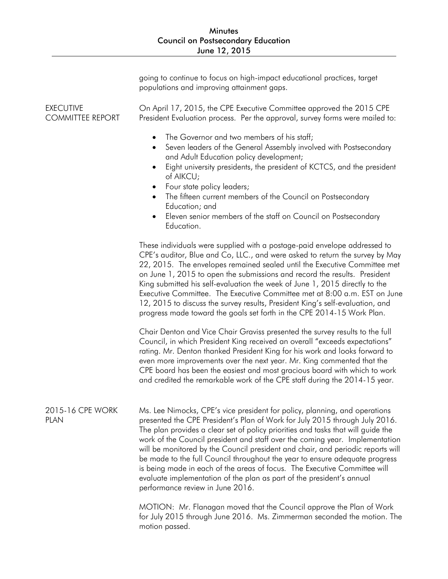|                                             | going to continue to focus on high-impact educational practices, target<br>populations and improving attainment gaps.                                                                                                                                                                                                                                                                                                                                                                                                                                                                                                                                                                     |
|---------------------------------------------|-------------------------------------------------------------------------------------------------------------------------------------------------------------------------------------------------------------------------------------------------------------------------------------------------------------------------------------------------------------------------------------------------------------------------------------------------------------------------------------------------------------------------------------------------------------------------------------------------------------------------------------------------------------------------------------------|
| <b>EXECUTIVE</b><br><b>COMMITTEE REPORT</b> | On April 17, 2015, the CPE Executive Committee approved the 2015 CPE<br>President Evaluation process. Per the approval, survey forms were mailed to:                                                                                                                                                                                                                                                                                                                                                                                                                                                                                                                                      |
|                                             | The Governor and two members of his staff;<br>$\bullet$<br>Seven leaders of the General Assembly involved with Postsecondary<br>$\bullet$<br>and Adult Education policy development;<br>Eight university presidents, the president of KCTCS, and the president<br>of AIKCU;<br>Four state policy leaders;<br>The fifteen current members of the Council on Postsecondary<br>Education; and<br>Eleven senior members of the staff on Council on Postsecondary<br>Education.                                                                                                                                                                                                                |
|                                             | These individuals were supplied with a postage-paid envelope addressed to<br>CPE's auditor, Blue and Co, LLC., and were asked to return the survey by May<br>22, 2015. The envelopes remained sealed until the Executive Committee met<br>on June 1, 2015 to open the submissions and record the results. President<br>King submitted his self-evaluation the week of June 1, 2015 directly to the<br>Executive Committee. The Executive Committee met at 8:00 a.m. EST on June<br>12, 2015 to discuss the survey results, President King's self-evaluation, and<br>progress made toward the goals set forth in the CPE 2014-15 Work Plan.                                                |
|                                             | Chair Denton and Vice Chair Graviss presented the survey results to the full<br>Council, in which President King received an overall "exceeds expectations"<br>rating. Mr. Denton thanked President King for his work and looks forward to<br>even more improvements over the next year. Mr. King commented that the<br>CPE board has been the easiest and most gracious board with which to work<br>and credited the remarkable work of the CPE staff during the 2014-15 year.                                                                                                                                                                                                           |
| 2015-16 CPE WORK<br><b>PLAN</b>             | Ms. Lee Nimocks, CPE's vice president for policy, planning, and operations<br>presented the CPE President's Plan of Work for July 2015 through July 2016.<br>The plan provides a clear set of policy priorities and tasks that will guide the<br>work of the Council president and staff over the coming year. Implementation<br>will be monitored by the Council president and chair, and periodic reports will<br>be made to the full Council throughout the year to ensure adequate progress<br>is being made in each of the areas of focus. The Executive Committee will<br>evaluate implementation of the plan as part of the president's annual<br>performance review in June 2016. |
|                                             | MOTION: Mr. Flanagan moved that the Council approve the Plan of Work<br>for July 2015 through June 2016. Ms. Zimmerman seconded the motion. The<br>motion passed.                                                                                                                                                                                                                                                                                                                                                                                                                                                                                                                         |